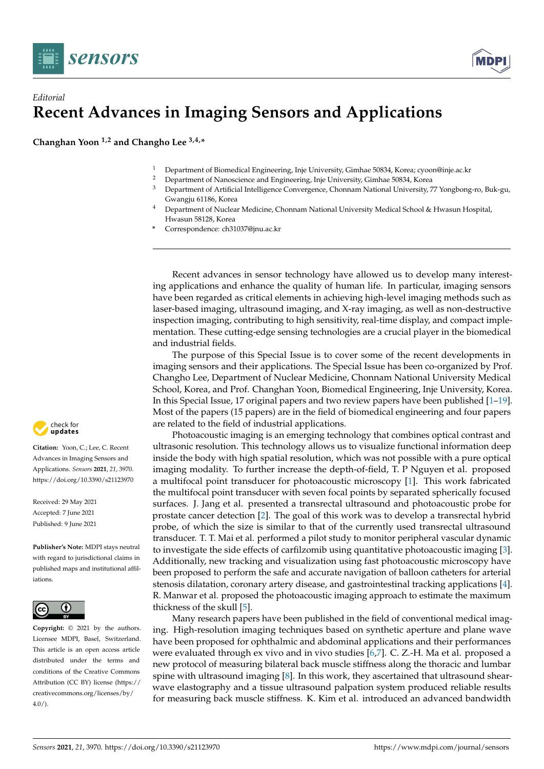



## *Editorial* **Recent Advances in Imaging Sensors and Applications**

**Changhan Yoon 1,2 and Changho Lee 3,4,\***

- <sup>1</sup> Department of Biomedical Engineering, Inje University, Gimhae 50834, Korea; cyoon@inje.ac.kr<br><sup>2</sup> Department of Nancesiance and Engineering, Inje University, Gimhae 50824, Korea
- <sup>2</sup> Department of Nanoscience and Engineering, Inje University, Gimhae 50834, Korea<br><sup>3</sup> Department of Artificial Intelligence Convergence, Channam National University 7
- <sup>3</sup> Department of Artificial Intelligence Convergence, Chonnam National University, 77 Yongbong-ro, Buk-gu, Gwangju 61186, Korea
- <sup>4</sup> Department of Nuclear Medicine, Chonnam National University Medical School & Hwasun Hospital, Hwasun 58128, Korea
- **\*** Correspondence: ch31037@jnu.ac.kr

Recent advances in sensor technology have allowed us to develop many interesting applications and enhance the quality of human life. In particular, imaging sensors have been regarded as critical elements in achieving high-level imaging methods such as laser-based imaging, ultrasound imaging, and X-ray imaging, as well as non-destructive inspection imaging, contributing to high sensitivity, real-time display, and compact implementation. These cutting-edge sensing technologies are a crucial player in the biomedical and industrial fields.

The purpose of this Special Issue is to cover some of the recent developments in imaging sensors and their applications. The Special Issue has been co-organized by Prof. Changho Lee, Department of Nuclear Medicine, Chonnam National University Medical School, Korea, and Prof. Changhan Yoon, Biomedical Engineering, Inje University, Korea. In this Special Issue, 17 original papers and two review papers have been published [\[1](#page-1-0)[–19\]](#page-2-0). Most of the papers (15 papers) are in the field of biomedical engineering and four papers are related to the field of industrial applications.

Photoacoustic imaging is an emerging technology that combines optical contrast and ultrasonic resolution. This technology allows us to visualize functional information deep inside the body with high spatial resolution, which was not possible with a pure optical imaging modality. To further increase the depth-of-field, T. P Nguyen et al. proposed a multifocal point transducer for photoacoustic microscopy [\[1\]](#page-1-0). This work fabricated the multifocal point transducer with seven focal points by separated spherically focused surfaces. J. Jang et al. presented a transrectal ultrasound and photoacoustic probe for prostate cancer detection [\[2\]](#page-1-1). The goal of this work was to develop a transrectal hybrid probe, of which the size is similar to that of the currently used transrectal ultrasound transducer. T. T. Mai et al. performed a pilot study to monitor peripheral vascular dynamic to investigate the side effects of carfilzomib using quantitative photoacoustic imaging [\[3\]](#page-1-2). Additionally, new tracking and visualization using fast photoacoustic microscopy have been proposed to perform the safe and accurate navigation of balloon catheters for arterial stenosis dilatation, coronary artery disease, and gastrointestinal tracking applications [\[4\]](#page-1-3). R. Manwar et al. proposed the photoacoustic imaging approach to estimate the maximum thickness of the skull [\[5\]](#page-1-4).

Many research papers have been published in the field of conventional medical imaging. High-resolution imaging techniques based on synthetic aperture and plane wave have been proposed for ophthalmic and abdominal applications and their performances were evaluated through ex vivo and in vivo studies [\[6](#page-1-5)[,7\]](#page-1-6). C. Z.-H. Ma et al. proposed a new protocol of measuring bilateral back muscle stiffness along the thoracic and lumbar spine with ultrasound imaging [\[8\]](#page-2-1). In this work, they ascertained that ultrasound shearwave elastography and a tissue ultrasound palpation system produced reliable results for measuring back muscle stiffness. K. Kim et al. introduced an advanced bandwidth



**Citation:** Yoon, C.; Lee, C. Recent Advances in Imaging Sensors and Applications. *Sensors* **2021**, *21*, 3970. <https://doi.org/10.3390/s21123970>

Received: 29 May 2021 Accepted: 7 June 2021 Published: 9 June 2021

**Publisher's Note:** MDPI stays neutral with regard to jurisdictional claims in published maps and institutional affiliations.



**Copyright:** © 2021 by the authors. Licensee MDPI, Basel, Switzerland. This article is an open access article distributed under the terms and conditions of the Creative Commons Attribution (CC BY) license (https:/[/](https://creativecommons.org/licenses/by/4.0/) [creativecommons.org/licenses/by/](https://creativecommons.org/licenses/by/4.0/)  $4.0/$ ).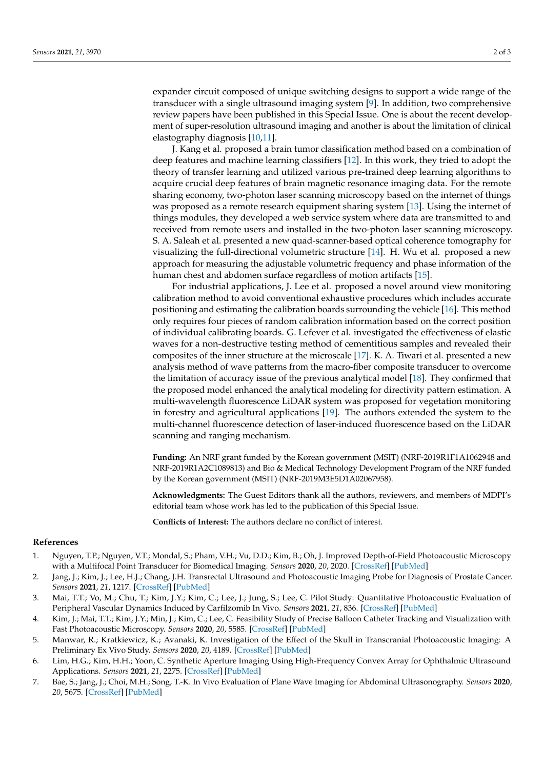expander circuit composed of unique switching designs to support a wide range of the transducer with a single ultrasound imaging system [\[9\]](#page-2-2). In addition, two comprehensive review papers have been published in this Special Issue. One is about the recent development of super-resolution ultrasound imaging and another is about the limitation of clinical elastography diagnosis [\[10](#page-2-3)[,11\]](#page-2-4).

J. Kang et al. proposed a brain tumor classification method based on a combination of deep features and machine learning classifiers [\[12\]](#page-2-5). In this work, they tried to adopt the theory of transfer learning and utilized various pre-trained deep learning algorithms to acquire crucial deep features of brain magnetic resonance imaging data. For the remote sharing economy, two-photon laser scanning microscopy based on the internet of things was proposed as a remote research equipment sharing system [\[13\]](#page-2-6). Using the internet of things modules, they developed a web service system where data are transmitted to and received from remote users and installed in the two-photon laser scanning microscopy. S. A. Saleah et al. presented a new quad-scanner-based optical coherence tomography for visualizing the full-directional volumetric structure [\[14\]](#page-2-7). H. Wu et al. proposed a new approach for measuring the adjustable volumetric frequency and phase information of the human chest and abdomen surface regardless of motion artifacts [\[15\]](#page-2-8).

For industrial applications, J. Lee et al. proposed a novel around view monitoring calibration method to avoid conventional exhaustive procedures which includes accurate positioning and estimating the calibration boards surrounding the vehicle [\[16\]](#page-2-9). This method only requires four pieces of random calibration information based on the correct position of individual calibrating boards. G. Lefever et al. investigated the effectiveness of elastic waves for a non-destructive testing method of cementitious samples and revealed their composites of the inner structure at the microscale [\[17\]](#page-2-10). K. A. Tiwari et al. presented a new analysis method of wave patterns from the macro-fiber composite transducer to overcome the limitation of accuracy issue of the previous analytical model [\[18\]](#page-2-11). They confirmed that the proposed model enhanced the analytical modeling for directivity pattern estimation. A multi-wavelength fluorescence LiDAR system was proposed for vegetation monitoring in forestry and agricultural applications [\[19\]](#page-2-0). The authors extended the system to the multi-channel fluorescence detection of laser-induced fluorescence based on the LiDAR scanning and ranging mechanism.

**Funding:** An NRF grant funded by the Korean government (MSIT) (NRF-2019R1F1A1062948 and NRF-2019R1A2C1089813) and Bio & Medical Technology Development Program of the NRF funded by the Korean government (MSIT) (NRF-2019M3E5D1A02067958).

**Acknowledgments:** The Guest Editors thank all the authors, reviewers, and members of MDPI's editorial team whose work has led to the publication of this Special Issue.

**Conflicts of Interest:** The authors declare no conflict of interest.

## **References**

- <span id="page-1-0"></span>1. Nguyen, T.P.; Nguyen, V.T.; Mondal, S.; Pham, V.H.; Vu, D.D.; Kim, B.; Oh, J. Improved Depth-of-Field Photoacoustic Microscopy with a Multifocal Point Transducer for Biomedical Imaging. *Sensors* **2020**, *20*, 2020. [\[CrossRef\]](http://doi.org/10.3390/s20072020) [\[PubMed\]](http://www.ncbi.nlm.nih.gov/pubmed/32260296)
- <span id="page-1-1"></span>2. Jang, J.; Kim, J.; Lee, H.J.; Chang, J.H. Transrectal Ultrasound and Photoacoustic Imaging Probe for Diagnosis of Prostate Cancer. *Sensors* **2021**, *21*, 1217. [\[CrossRef\]](http://doi.org/10.3390/s21041217) [\[PubMed\]](http://www.ncbi.nlm.nih.gov/pubmed/33572287)
- <span id="page-1-2"></span>3. Mai, T.T.; Vo, M.; Chu, T.; Kim, J.Y.; Kim, C.; Lee, J.; Jung, S.; Lee, C. Pilot Study: Quantitative Photoacoustic Evaluation of Peripheral Vascular Dynamics Induced by Carfilzomib In Vivo. *Sensors* **2021**, *21*, 836. [\[CrossRef\]](http://doi.org/10.3390/s21030836) [\[PubMed\]](http://www.ncbi.nlm.nih.gov/pubmed/33513784)
- <span id="page-1-3"></span>4. Kim, J.; Mai, T.T.; Kim, J.Y.; Min, J.; Kim, C.; Lee, C. Feasibility Study of Precise Balloon Catheter Tracking and Visualization with Fast Photoacoustic Microscopy. *Sensors* **2020**, *20*, 5585. [\[CrossRef\]](http://doi.org/10.3390/s20195585) [\[PubMed\]](http://www.ncbi.nlm.nih.gov/pubmed/33003536)
- <span id="page-1-4"></span>5. Manwar, R.; Kratkiewicz, K.; Avanaki, K. Investigation of the Effect of the Skull in Transcranial Photoacoustic Imaging: A Preliminary Ex Vivo Study. *Sensors* **2020**, *20*, 4189. [\[CrossRef\]](http://doi.org/10.3390/s20154189) [\[PubMed\]](http://www.ncbi.nlm.nih.gov/pubmed/32731449)
- <span id="page-1-5"></span>6. Lim, H.G.; Kim, H.H.; Yoon, C. Synthetic Aperture Imaging Using High-Frequency Convex Array for Ophthalmic Ultrasound Applications. *Sensors* **2021**, *21*, 2275. [\[CrossRef\]](http://doi.org/10.3390/s21072275) [\[PubMed\]](http://www.ncbi.nlm.nih.gov/pubmed/33805048)
- <span id="page-1-6"></span>7. Bae, S.; Jang, J.; Choi, M.H.; Song, T.-K. In Vivo Evaluation of Plane Wave Imaging for Abdominal Ultrasonography. *Sensors* **2020**, *20*, 5675. [\[CrossRef\]](http://doi.org/10.3390/s20195675) [\[PubMed\]](http://www.ncbi.nlm.nih.gov/pubmed/33027916)